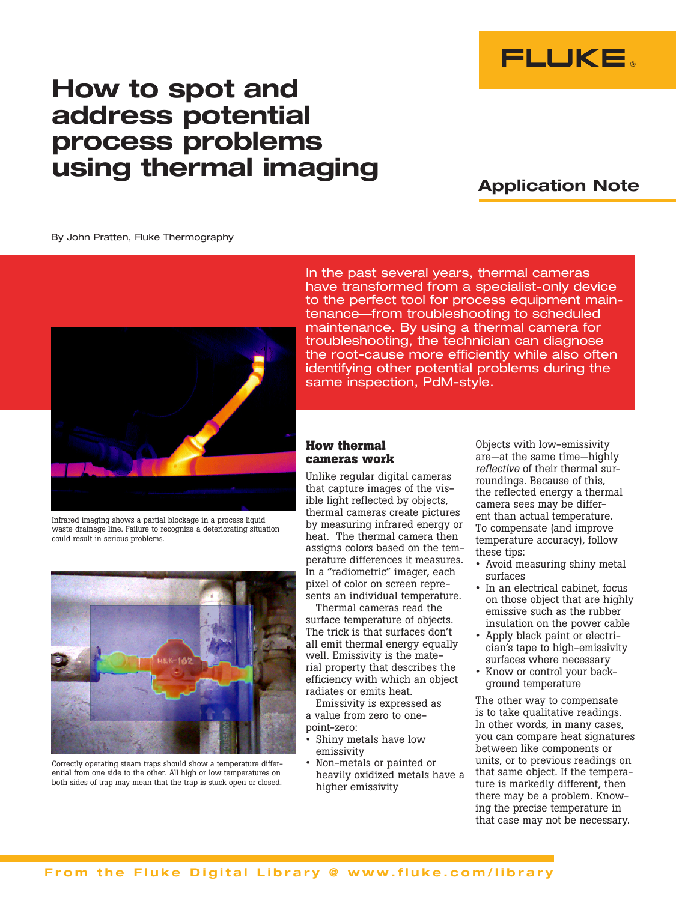

# How to spot and address potential process problems using thermal imaging

## Application Note

By John Pratten, Fluke Thermography



Infrared imaging shows a partial blockage in a process liquid waste drainage line. Failure to recognize a deteriorating situation could result in serious problems.



Correctly operating steam traps should show a temperature differential from one side to the other. All high or low temperatures on both sides of trap may mean that the trap is stuck open or closed.

In the past several years, thermal cameras have transformed from a specialist-only device to the perfect tool for process equipment maintenance—from troubleshooting to scheduled maintenance. By using a thermal camera for troubleshooting, the technician can diagnose the root-cause more efficiently while also often identifying other potential problems during the same inspection, PdM-style.

## **How thermal cameras work**

Unlike regular digital cameras that capture images of the visible light reflected by objects, thermal cameras create pictures by measuring infrared energy or heat. The thermal camera then assigns colors based on the temperature differences it measures. In a "radiometric" imager, each pixel of color on screen represents an individual temperature.

Thermal cameras read the surface temperature of objects. The trick is that surfaces don't all emit thermal energy equally well. Emissivity is the material property that describes the efficiency with which an object radiates or emits heat.

Emissivity is expressed as a value from zero to onepoint-zero:

- **•** Shiny metals have low emissivity
- **•** Non-metals or painted or heavily oxidized metals have a higher emissivity

Objects with low-emissivity are—at the same time—highly *reflective* of their thermal surroundings. Because of this, the reflected energy a thermal camera sees may be different than actual temperature. To compensate (and improve temperature accuracy), follow these tips:

- **•** Avoid measuring shiny metal surfaces
- **•** In an electrical cabinet, focus on those object that are highly emissive such as the rubber insulation on the power cable
- **•** Apply black paint or electrician's tape to high-emissivity surfaces where necessary
- **•** Know or control your background temperature

The other way to compensate is to take qualitative readings. In other words, in many cases, you can compare heat signatures between like components or units, or to previous readings on that same object. If the temperature is markedly different, then there may be a problem. Knowing the precise temperature in that case may not be necessary.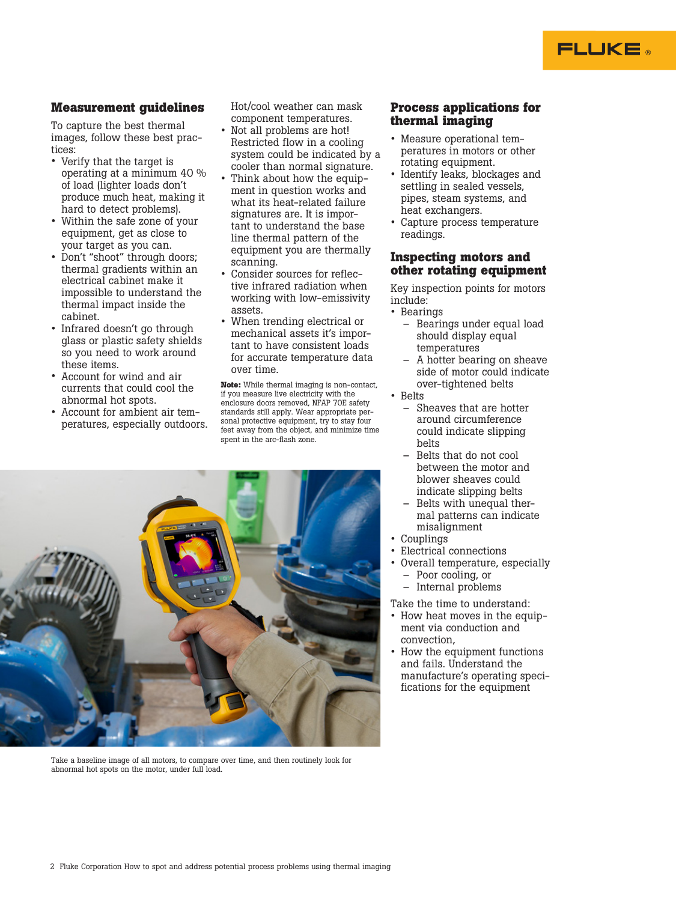#### 2 Fluke Corporation How to spot and address potential process problems using thermal imaging

## **Measurement guidelines**

To capture the best thermal images, follow these best practices:

- **•** Verify that the target is operating at a minimum 40 % of load (lighter loads don't produce much heat, making it hard to detect problems).
- **•** Within the safe zone of your equipment, get as close to your target as you can.
- **•** Don't "shoot" through doors; thermal gradients within an electrical cabinet make it impossible to understand the thermal impact inside the cabinet.
- **•** Infrared doesn't go through glass or plastic safety shields so you need to work around these items.
- **•** Account for wind and air currents that could cool the abnormal hot spots.
- **•** Account for ambient air temperatures, especially outdoors.

Hot/cool weather can mask component temperatures.

- **•** Not all problems are hot! Restricted flow in a cooling system could be indicated by a cooler than normal signature.
- **•** Think about how the equipment in question works and what its heat-related failure signatures are. It is important to understand the base line thermal pattern of the equipment you are thermally scanning.
- **•** Consider sources for reflective infrared radiation when working with low-emissivity assets.
- **•** When trending electrical or mechanical assets it's important to have consistent loads for accurate temperature data over time.

**Note:** While thermal imaging is non-contact, if you measure live electricity with the enclosure doors removed, NFAP 70E safety standards still apply. Wear appropriate personal protective equipment, try to stay four feet away from the object, and minimize time spent in the arc-flash zone.

## **Process applications for thermal imaging**

FLUKE .

- **•** Measure operational temperatures in motors or other rotating equipment.
- **•** Identify leaks, blockages and settling in sealed vessels, pipes, steam systems, and heat exchangers.
- **•** Capture process temperature readings.

#### **Inspecting motors and other rotating equipment**

Key inspection points for motors include:

- **•** Bearings
	- Bearings under equal load should display equal temperatures
	- A hotter bearing on sheave side of motor could indicate over-tightened belts
- **•** Belts
	- Sheaves that are hotter around circumference could indicate slipping belts
	- Belts that do not cool between the motor and blower sheaves could indicate slipping belts
	- Belts with unequal thermal patterns can indicate misalignment
- **•** Couplings
- **•** Electrical connections
- **•** Overall temperature, especially – Poor cooling, or
	- Internal problems
- Take the time to understand:
- How heat moves in the equipment via conduction and convection,
- **•** How the equipment functions and fails. Understand the manufacture's operating specifications for the equipment

Take a baseline image of all motors, to compare over time, and then routinely look for abnormal hot spots on the motor, under full load.

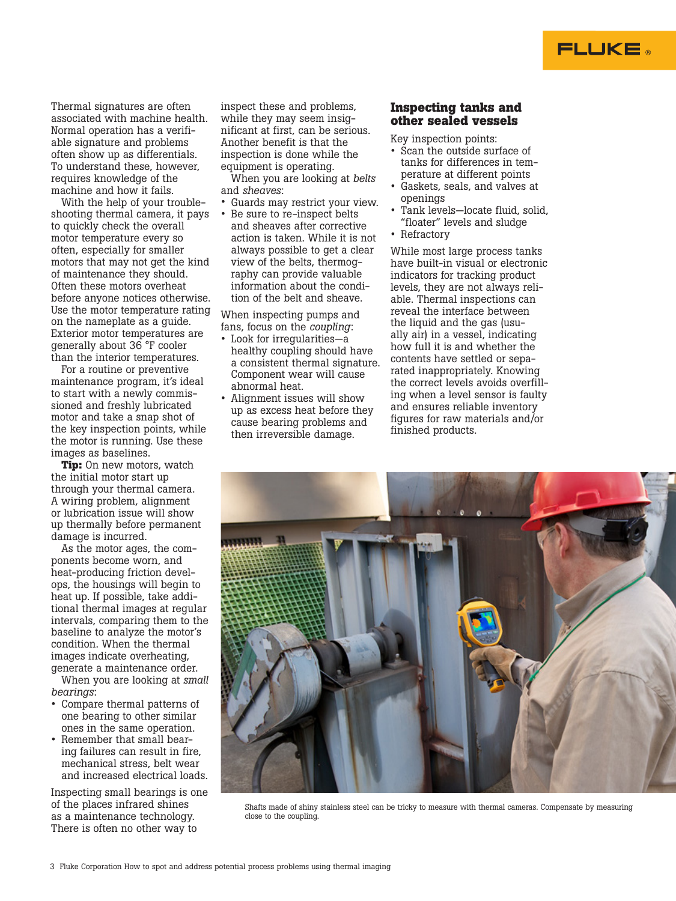Thermal signatures are often associated with machine health. Normal operation has a verifiable signature and problems often show up as differentials. To understand these, however, requires knowledge of the machine and how it fails.

With the help of your troubleshooting thermal camera, it pays to quickly check the overall motor temperature every so often, especially for smaller motors that may not get the kind of maintenance they should. Often these motors overheat before anyone notices otherwise. Use the motor temperature rating on the nameplate as a guide. Exterior motor temperatures are generally about 36 °F cooler than the interior temperatures.

For a routine or preventive maintenance program, it's ideal to start with a newly commissioned and freshly lubricated motor and take a snap shot of the key inspection points, while the motor is running. Use these images as baselines.

**Tip:** On new motors, watch the initial motor start up through your thermal camera. A wiring problem, alignment or lubrication issue will show up thermally before permanent damage is incurred.

As the motor ages, the components become worn, and heat-producing friction develops, the housings will begin to heat up. If possible, take additional thermal images at regular intervals, comparing them to the baseline to analyze the motor's condition. When the thermal images indicate overheating, generate a maintenance order.

When you are looking at *small bearings*:

- **•** Compare thermal patterns of one bearing to other similar ones in the same operation.
- **•** Remember that small bearing failures can result in fire, mechanical stress, belt wear and increased electrical loads.

Inspecting small bearings is one of the places infrared shines as a maintenance technology. There is often no other way to

inspect these and problems, while they may seem insignificant at first, can be serious. Another benefit is that the inspection is done while the equipment is operating.

When you are looking at *belts* and *sheaves*:

- **•** Guards may restrict your view.
- **•** Be sure to re-inspect belts and sheaves after corrective action is taken. While it is not always possible to get a clear view of the belts, thermography can provide valuable information about the condition of the belt and sheave.

When inspecting pumps and fans, focus on the *coupling*:

- **•** Look for irregularities—a healthy coupling should have a consistent thermal signature. Component wear will cause abnormal heat.
- **•** Alignment issues will show up as excess heat before they cause bearing problems and then irreversible damage.

## **Inspecting tanks and other sealed vessels**

FLUKE ®

Key inspection points:

- **•** Scan the outside surface of tanks for differences in temperature at different points
- **•** Gaskets, seals, and valves at openings
- **•** Tank levels—locate fluid, solid, "floater" levels and sludge
- **•** Refractory

While most large process tanks have built-in visual or electronic indicators for tracking product levels, they are not always reliable. Thermal inspections can reveal the interface between the liquid and the gas (usually air) in a vessel, indicating how full it is and whether the contents have settled or separated inappropriately. Knowing the correct levels avoids overfilling when a level sensor is faulty and ensures reliable inventory figures for raw materials and/or finished products.



Shafts made of shiny stainless steel can be tricky to measure with thermal cameras. Compensate by measuring close to the coupling.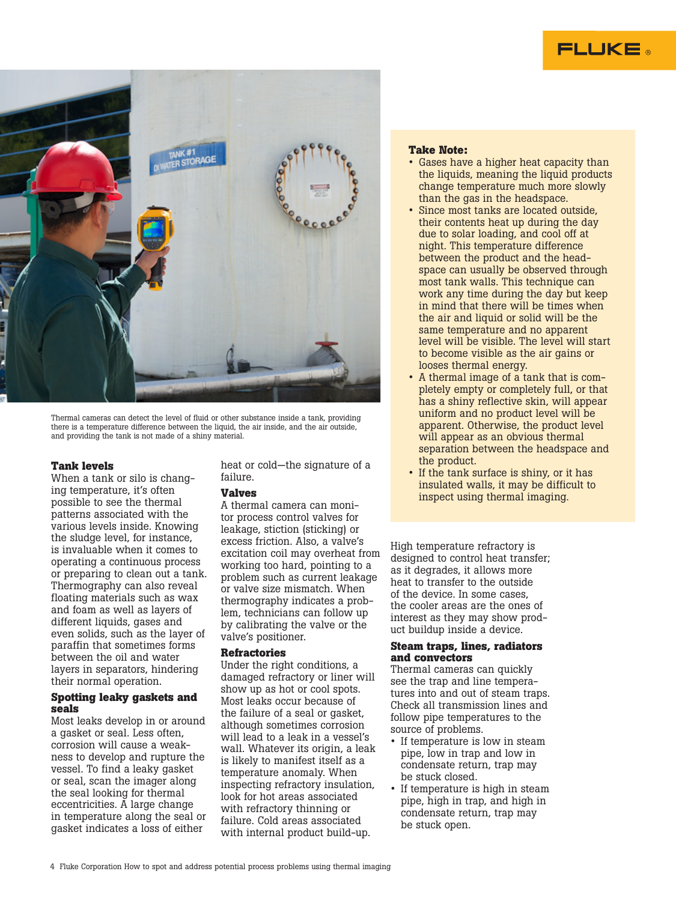



Thermal cameras can detect the level of fluid or other substance inside a tank, providing there is a temperature difference between the liquid, the air inside, and the air outside, and providing the tank is not made of a shiny material.

#### **Tank levels**

When a tank or silo is changing temperature, it's often possible to see the thermal patterns associated with the various levels inside. Knowing the sludge level, for instance, is invaluable when it comes to operating a continuous process or preparing to clean out a tank. Thermography can also reveal floating materials such as wax and foam as well as layers of different liquids, gases and even solids, such as the layer of paraffin that sometimes forms between the oil and water layers in separators, hindering their normal operation.

#### **Spotting leaky gaskets and seals**

Most leaks develop in or around a gasket or seal. Less often, corrosion will cause a weakness to develop and rupture the vessel. To find a leaky gasket or seal, scan the imager along the seal looking for thermal eccentricities. A large change in temperature along the seal or gasket indicates a loss of either

heat or cold—the signature of a failure.

#### **Valves**

A thermal camera can monitor process control valves for leakage, stiction (sticking) or excess friction. Also, a valve's excitation coil may overheat from working too hard, pointing to a problem such as current leakage or valve size mismatch. When thermography indicates a problem, technicians can follow up by calibrating the valve or the valve's positioner.

#### **Refractories**

Under the right conditions, a damaged refractory or liner will show up as hot or cool spots. Most leaks occur because of the failure of a seal or gasket, although sometimes corrosion will lead to a leak in a vessel's wall. Whatever its origin, a leak is likely to manifest itself as a temperature anomaly. When inspecting refractory insulation, look for hot areas associated with refractory thinning or failure. Cold areas associated with internal product build-up.

#### **Take Note:**

- **•** Gases have a higher heat capacity than the liquids, meaning the liquid products change temperature much more slowly than the gas in the headspace.
- **•** Since most tanks are located outside, their contents heat up during the day due to solar loading, and cool off at night. This temperature difference between the product and the headspace can usually be observed through most tank walls. This technique can work any time during the day but keep in mind that there will be times when the air and liquid or solid will be the same temperature and no apparent level will be visible. The level will start to become visible as the air gains or looses thermal energy.
- **•** A thermal image of a tank that is completely empty or completely full, or that has a shiny reflective skin, will appear uniform and no product level will be apparent. Otherwise, the product level will appear as an obvious thermal separation between the headspace and the product.
- **•** If the tank surface is shiny, or it has insulated walls, it may be difficult to inspect using thermal imaging.

High temperature refractory is designed to control heat transfer; as it degrades, it allows more heat to transfer to the outside of the device. In some cases, the cooler areas are the ones of interest as they may show product buildup inside a device.

#### **Steam traps, lines, radiators and convectors**

Thermal cameras can quickly see the trap and line temperatures into and out of steam traps. Check all transmission lines and follow pipe temperatures to the source of problems.

- **•** If temperature is low in steam pipe, low in trap and low in condensate return, trap may be stuck closed.
- **•** If temperature is high in steam pipe, high in trap, and high in condensate return, trap may be stuck open.